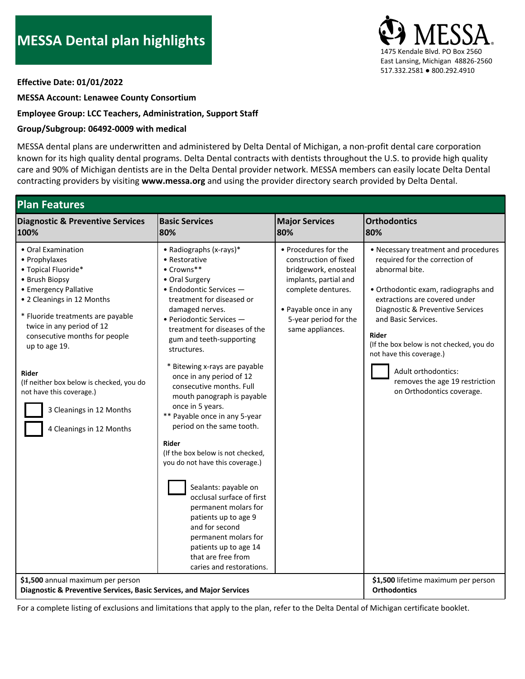

**Effective Date: 01/01/2022**

**MESSA Account: Lenawee County Consortium**

## **Employee Group: LCC Teachers, Administration, Support Staff**

## **Group/Subgroup: 06492-0009 with medical**

MESSA dental plans are underwritten and administered by Delta Dental of Michigan, a non-profit dental care corporation known for its high quality dental programs. Delta Dental contracts with dentists throughout the U.S. to provide high quality care and 90% of Michigan dentists are in the Delta Dental provider network. MESSA members can easily locate Delta Dental contracting providers by visiting **www.messa.org** and using the provider directory search provided by Delta Dental.

| <b>Plan Features</b>                                                                                                                                                                                                                                                                                                                                                                             |                                                                                                                                                                                                                                                                                                                                                                                                                                                                                                                                                                                                                                                                                                                                                                                                |                                                                                                                                                                                            |                                                                                                                                                                                                                                                                                                                                                                                                    |  |  |
|--------------------------------------------------------------------------------------------------------------------------------------------------------------------------------------------------------------------------------------------------------------------------------------------------------------------------------------------------------------------------------------------------|------------------------------------------------------------------------------------------------------------------------------------------------------------------------------------------------------------------------------------------------------------------------------------------------------------------------------------------------------------------------------------------------------------------------------------------------------------------------------------------------------------------------------------------------------------------------------------------------------------------------------------------------------------------------------------------------------------------------------------------------------------------------------------------------|--------------------------------------------------------------------------------------------------------------------------------------------------------------------------------------------|----------------------------------------------------------------------------------------------------------------------------------------------------------------------------------------------------------------------------------------------------------------------------------------------------------------------------------------------------------------------------------------------------|--|--|
| <b>Diagnostic &amp; Preventive Services</b>                                                                                                                                                                                                                                                                                                                                                      | <b>Basic Services</b>                                                                                                                                                                                                                                                                                                                                                                                                                                                                                                                                                                                                                                                                                                                                                                          | <b>Major Services</b>                                                                                                                                                                      | <b>Orthodontics</b>                                                                                                                                                                                                                                                                                                                                                                                |  |  |
| 100%                                                                                                                                                                                                                                                                                                                                                                                             | 80%                                                                                                                                                                                                                                                                                                                                                                                                                                                                                                                                                                                                                                                                                                                                                                                            | 80%                                                                                                                                                                                        | 80%                                                                                                                                                                                                                                                                                                                                                                                                |  |  |
| • Oral Examination<br>• Prophylaxes<br>• Topical Fluoride*<br>• Brush Biopsy<br>• Emergency Pallative<br>• 2 Cleanings in 12 Months<br>* Fluoride treatments are payable<br>twice in any period of 12<br>consecutive months for people<br>up to age 19.<br>Rider<br>(If neither box below is checked, you do<br>not have this coverage.)<br>3 Cleanings in 12 Months<br>4 Cleanings in 12 Months | • Radiographs (x-rays)*<br>• Restorative<br>$\bullet$ Crowns**<br>• Oral Surgery<br>· Endodontic Services -<br>treatment for diseased or<br>damaged nerves.<br>· Periodontic Services -<br>treatment for diseases of the<br>gum and teeth-supporting<br>structures.<br>* Bitewing x-rays are payable<br>once in any period of 12<br>consecutive months. Full<br>mouth panograph is payable<br>once in 5 years.<br>** Payable once in any 5-year<br>period on the same tooth.<br><b>Rider</b><br>(If the box below is not checked,<br>you do not have this coverage.)<br>Sealants: payable on<br>occlusal surface of first<br>permanent molars for<br>patients up to age 9<br>and for second<br>permanent molars for<br>patients up to age 14<br>that are free from<br>caries and restorations. | • Procedures for the<br>construction of fixed<br>bridgework, enosteal<br>implants, partial and<br>complete dentures.<br>• Payable once in any<br>5-year period for the<br>same appliances. | • Necessary treatment and procedures<br>required for the correction of<br>abnormal bite.<br>• Orthodontic exam, radiographs and<br>extractions are covered under<br>Diagnostic & Preventive Services<br>and Basic Services.<br>Rider<br>(If the box below is not checked, you do<br>not have this coverage.)<br>Adult orthodontics:<br>removes the age 19 restriction<br>on Orthodontics coverage. |  |  |
| \$1,500 annual maximum per person                                                                                                                                                                                                                                                                                                                                                                |                                                                                                                                                                                                                                                                                                                                                                                                                                                                                                                                                                                                                                                                                                                                                                                                |                                                                                                                                                                                            | \$1,500 lifetime maximum per person                                                                                                                                                                                                                                                                                                                                                                |  |  |
| Diagnostic & Preventive Services, Basic Services, and Major Services                                                                                                                                                                                                                                                                                                                             |                                                                                                                                                                                                                                                                                                                                                                                                                                                                                                                                                                                                                                                                                                                                                                                                |                                                                                                                                                                                            | <b>Orthodontics</b>                                                                                                                                                                                                                                                                                                                                                                                |  |  |

For a complete listing of exclusions and limitations that apply to the plan, refer to the Delta Dental of Michigan certificate booklet.